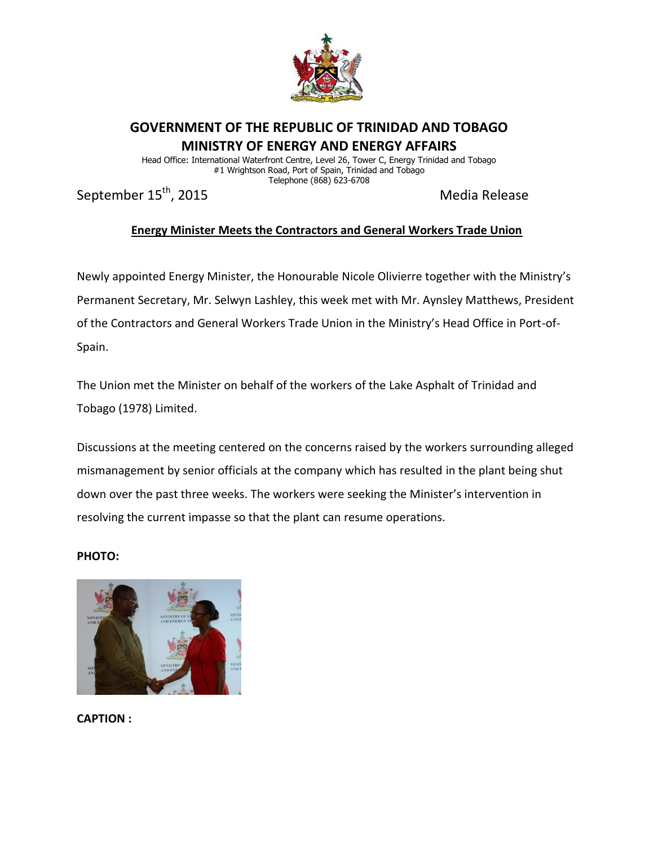

## **GOVERNMENT OF THE REPUBLIC OF TRINIDAD AND TOBAGO MINISTRY OF ENERGY AND ENERGY AFFAIRS**

Head Office: International Waterfront Centre, Level 26, Tower C, Energy Trinidad and Tobago #1 Wrightson Road, Port of Spain, Trinidad and Tobago Telephone (868) 623-6708

September 15<sup>th</sup>, 2015 Media Release

## **Energy Minister Meets the Contractors and General Workers Trade Union**

Newly appointed Energy Minister, the Honourable Nicole Olivierre together with the Ministry's Permanent Secretary, Mr. Selwyn Lashley, this week met with Mr. Aynsley Matthews, President of the Contractors and General Workers Trade Union in the Ministry's Head Office in Port-of-Spain.

The Union met the Minister on behalf of the workers of the Lake Asphalt of Trinidad and Tobago (1978) Limited.

Discussions at the meeting centered on the concerns raised by the workers surrounding alleged mismanagement by senior officials at the company which has resulted in the plant being shut down over the past three weeks. The workers were seeking the Minister's intervention in resolving the current impasse so that the plant can resume operations.

## **PHOTO:**



**CAPTION :**